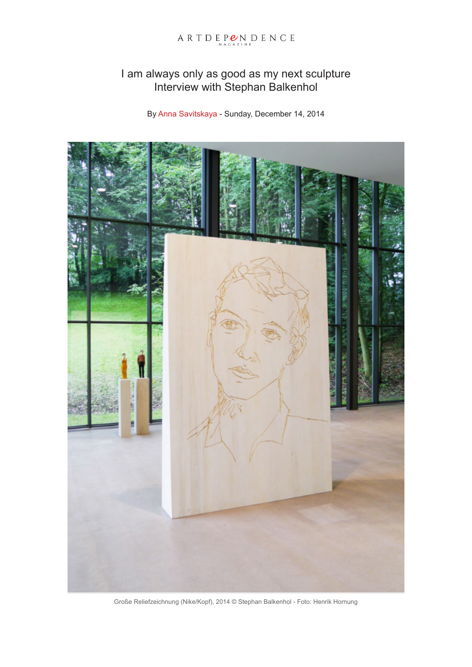# ARTDEP $\mathcal{L}_{\text{MAGALINE}}$ DENCE

# I am always only as good as my next sculpture Interview with Stephan Balkenhol

By Anna Savitskaya - Sunday, December 14, 2014



Große Reliefzeichnung (Nike/Kopf), 2014 © Stephan Balkenhol - Foto: Henrik Hornung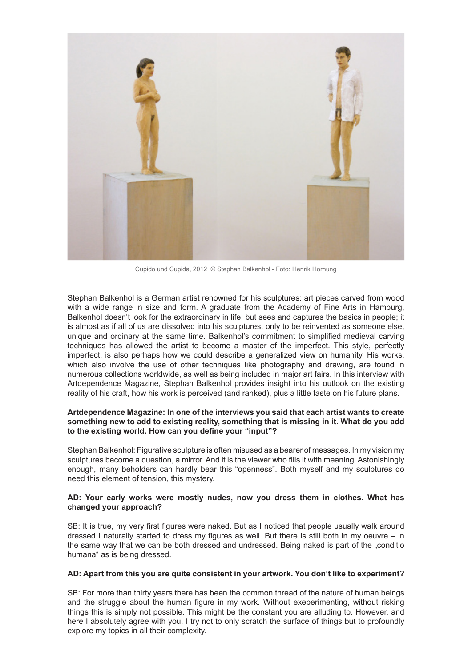

Cupido und Cupida, 2012 © Stephan Balkenhol - Foto: Henrik Hornung

Stephan Balkenhol is a German artist renowned for his sculptures: art pieces carved from wood with a wide range in size and form. A graduate from the Academy of Fine Arts in Hamburg, Balkenhol doesn't look for the extraordinary in life, but sees and captures the basics in people; it is almost as if all of us are dissolved into his sculptures, only to be reinvented as someone else, unique and ordinary at the same time. Balkenhol's commitment to simplified medieval carving techniques has allowed the artist to become a master of the imperfect. This style, perfectly imperfect, is also perhaps how we could describe a generalized view on humanity. His works, which also involve the use of other techniques like photography and drawing, are found in numerous collections worldwide, as well as being included in major art fairs. In this interview with Artdependence Magazine, Stephan Balkenhol provides insight into his outlook on the existing reality of his craft, how his work is perceived (and ranked), plus a little taste on his future plans.

# **Artdependence Magazine: In one of the interviews you said that each artist wants to create something new to add to existing reality, something that is missing in it. What do you add to the existing world. How can you define your "input"?**

Stephan Balkenhol: Figurative sculpture is often misused as a bearer of messages. In my vision my sculptures become a question, a mirror. And it is the viewer who fills it with meaning. Astonishingly enough, many beholders can hardly bear this "openness". Both myself and my sculptures do need this element of tension, this mystery.

# **AD: Your early works were mostly nudes, now you dress them in clothes. What has changed your approach?**

SB: It is true, my very first figures were naked. But as I noticed that people usually walk around dressed I naturally started to dress my figures as well. But there is still both in my oeuvre – in the same way that we can be both dressed and undressed. Being naked is part of the "conditio humana" as is being dressed.

#### **AD: Apart from this you are quite consistent in your artwork. You don't like to experiment?**

SB: For more than thirty years there has been the common thread of the nature of human beings and the struggle about the human figure in my work. Without exeperimenting, without risking things this is simply not possible. This might be the constant you are alluding to. However, and here I absolutely agree with you, I try not to only scratch the surface of things but to profoundly explore my topics in all their complexity.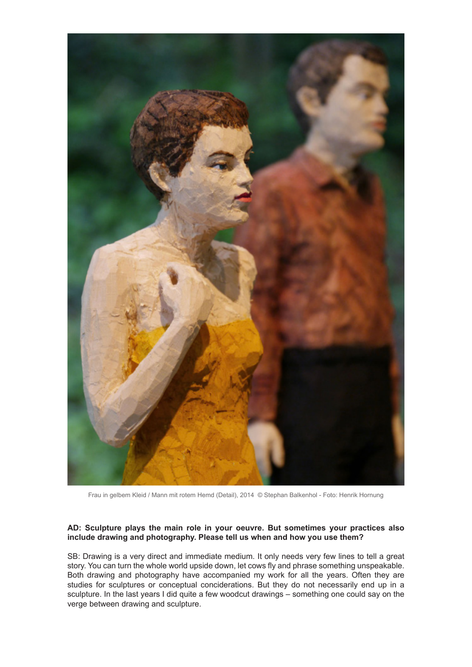

Frau in gelbem Kleid / Mann mit rotem Hemd (Detail), 2014 © Stephan Balkenhol - Foto: Henrik Hornung

# **AD: Sculpture plays the main role in your oeuvre. But sometimes your practices also include drawing and photography. Please tell us when and how you use them?**

SB: Drawing is a very direct and immediate medium. It only needs very few lines to tell a great story. You can turn the whole world upside down, let cows fly and phrase something unspeakable. Both drawing and photography have accompanied my work for all the years. Often they are studies for sculptures or conceptual conciderations. But they do not necessarily end up in a sculpture. In the last years I did quite a few woodcut drawings – something one could say on the verge between drawing and sculpture.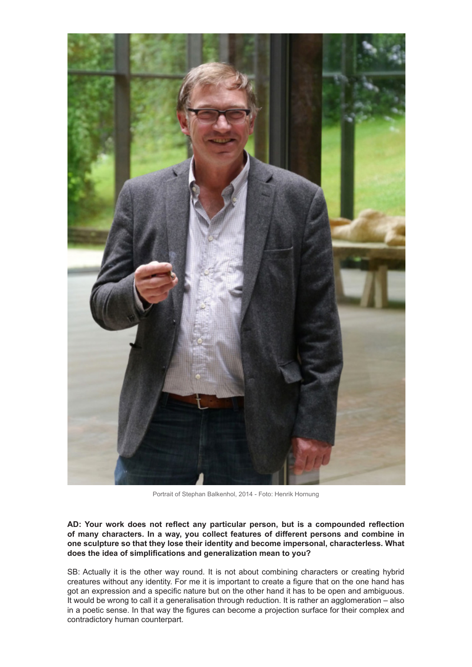

Portrait of Stephan Balkenhol, 2014 - Foto: Henrik Hornung

**AD: Your work does not reflect any particular person, but is a compounded reflection of many characters. In a way, you collect features of different persons and combine in one sculpture so that they lose their identity and become impersonal, characterless. What does the idea of simplifications and generalization mean to you?**

SB: Actually it is the other way round. It is not about combining characters or creating hybrid creatures without any identity. For me it is important to create a figure that on the one hand has got an expression and a specific nature but on the other hand it has to be open and ambiguous. It would be wrong to call it a generalisation through reduction. It is rather an agglomeration – also in a poetic sense. In that way the figures can become a projection surface for their complex and contradictory human counterpart.